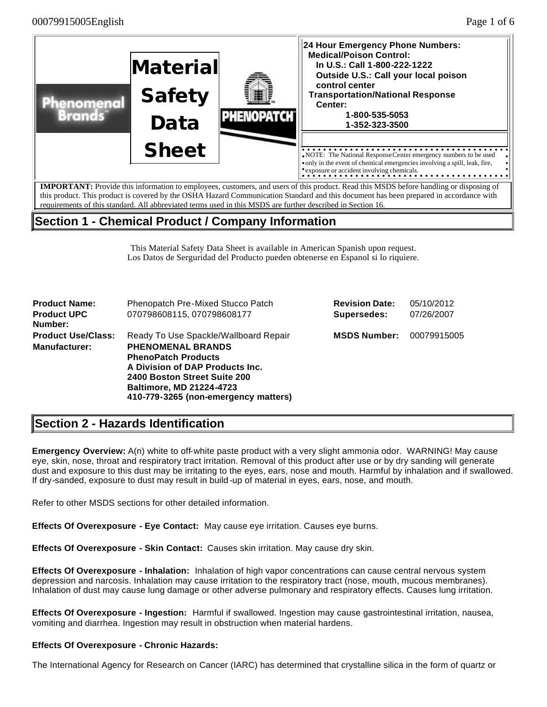

# **Section 1 - Chemical Product / Company Information**

This Material Safety Data Sheet is available in American Spanish upon request. Los Datos de Serguridad del Producto pueden obtenerse en Espanol si lo riquiere.

| <b>Product Name:</b><br><b>Product UPC</b><br>Number:                                                                                                                                                                                                                                              | Phenopatch Pre-Mixed Stucco Patch<br>070798608115, 070798608177 | <b>Revision Date:</b><br>Supersedes: | 05/10/2012<br>07/26/2007 |
|----------------------------------------------------------------------------------------------------------------------------------------------------------------------------------------------------------------------------------------------------------------------------------------------------|-----------------------------------------------------------------|--------------------------------------|--------------------------|
| <b>Product Use/Class:</b><br>Ready To Use Spackle/Wallboard Repair<br><b>PHENOMENAL BRANDS</b><br><b>Manufacturer:</b><br><b>PhenoPatch Products</b><br>A Division of DAP Products Inc.<br>2400 Boston Street Suite 200<br><b>Baltimore, MD 21224-4723</b><br>410-779-3265 (non-emergency matters) |                                                                 | <b>MSDS Number:</b>                  | 00079915005              |

# **Section 2 - Hazards Identification**

**Emergency Overview:** A(n) white to off-white paste product with a very slight ammonia odor. WARNING! May cause eye, skin, nose, throat and respiratory tract irritation. Removal of this product after use or by dry sanding will generate dust and exposure to this dust may be irritating to the eyes, ears, nose and mouth. Harmful by inhalation and if swallowed. If dry-sanded, exposure to dust may result in build -up of material in eyes, ears, nose, and mouth.

Refer to other MSDS sections for other detailed information.

**Effects Of Overexposure - Eye Contact:** May cause eye irritation. Causes eye burns.

**Effects Of Overexposure - Skin Contact:** Causes skin irritation. May cause dry skin.

**Effects Of Overexposure - Inhalation:** Inhalation of high vapor concentrations can cause central nervous system depression and narcosis. Inhalation may cause irritation to the respiratory tract (nose, mouth, mucous membranes). Inhalation of dust may cause lung damage or other adverse pulmonary and respiratory effects. Causes lung irritation.

**Effects Of Overexposure - Ingestion:** Harmful if swallowed. Ingestion may cause gastrointestinal irritation, nausea, vomiting and diarrhea. Ingestion may result in obstruction when material hardens.

### **Effects Of Overexposure - Chronic Hazards:**

The International Agency for Research on Cancer (IARC) has determined that crystalline silica in the form of quartz or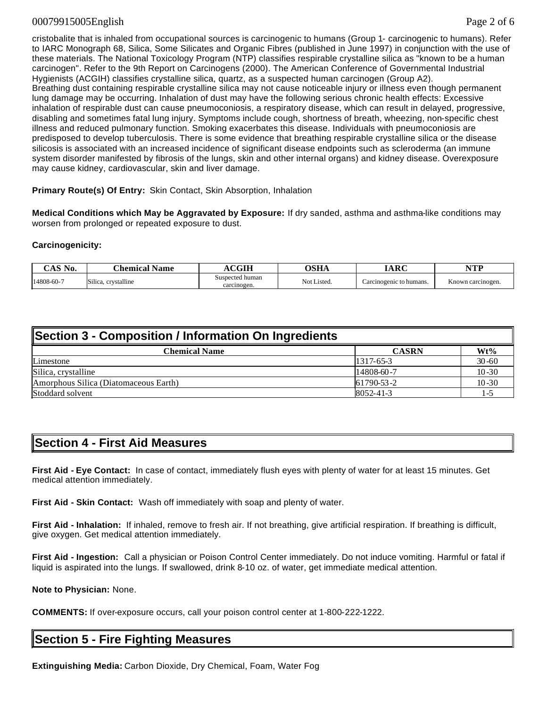### 00079915005English Page 2 of 6

cristobalite that is inhaled from occupational sources is carcinogenic to humans (Group 1- carcinogenic to humans). Refer to IARC Monograph 68, Silica, Some Silicates and Organic Fibres (published in June 1997) in conjunction with the use of these materials. The National Toxicology Program (NTP) classifies respirable crystalline silica as "known to be a human carcinogen". Refer to the 9th Report on Carcinogens (2000). The American Conference of Governmental Industrial Hygienists (ACGIH) classifies crystalline silica, quartz, as a suspected human carcinogen (Group A2). Breathing dust containing respirable crystalline silica may not cause noticeable injury or illness even though permanent lung damage may be occurring. Inhalation of dust may have the following serious chronic health effects: Excessive inhalation of respirable dust can cause pneumoconiosis, a respiratory disease, which can result in delayed, progressive, disabling and sometimes fatal lung injury. Symptoms include cough, shortness of breath, wheezing, non-specific chest illness and reduced pulmonary function. Smoking exacerbates this disease. Individuals with pneumoconiosis are predisposed to develop tuberculosis. There is some evidence that breathing respirable crystalline silica or the disease silicosis is associated with an increased incidence of significant disease endpoints such as scleroderma (an immune system disorder manifested by fibrosis of the lungs, skin and other internal organs) and kidney disease. Overexposure may cause kidney, cardiovascular, skin and liver damage.

**Primary Route(s) Of Entry:** Skin Contact, Skin Absorption, Inhalation

**Medical Conditions which May be Aggravated by Exposure:** If dry sanded, asthma and asthma-like conditions may worsen from prolonged or repeated exposure to dust.

### **Carcinogenicity:**

| $\gamma$ AS No. | Chemical.<br>Name                                | `GIH                           | <b>OSHA</b> | <b>IARC</b>            | <b>NTD</b>        |
|-----------------|--------------------------------------------------|--------------------------------|-------------|------------------------|-------------------|
| 14808-60-7      | crystalline<br>$\sim$ $\cdot$ $\cdot$<br>Silica. | Suspected human<br>carcinogen. | Not Listed. | arcinogenic to humans. | Known carcinogen. |

| Section 3 - Composition / Information On Ingredients |                 |           |  |  |
|------------------------------------------------------|-----------------|-----------|--|--|
| <b>Chemical Name</b>                                 | <b>CASRN</b>    | $Wt\%$    |  |  |
| Limestone                                            | $1317-65-3$     | $30 - 60$ |  |  |
| Silica, crystalline                                  | $14808-60-7$    | $10 - 30$ |  |  |
| Amorphous Silica (Diatomaceous Earth)                | 61790-53-2      | $10 - 30$ |  |  |
| Stoddard solvent                                     | $8052 - 41 - 3$ | ' – '     |  |  |

## **Section 4 - First Aid Measures**

**First Aid - Eye Contact:** In case of contact, immediately flush eyes with plenty of water for at least 15 minutes. Get medical attention immediately.

**First Aid - Skin Contact:** Wash off immediately with soap and plenty of water.

**First Aid - Inhalation:** If inhaled, remove to fresh air. If not breathing, give artificial respiration. If breathing is difficult, give oxygen. Get medical attention immediately.

**First Aid - Ingestion:** Call a physician or Poison Control Center immediately. Do not induce vomiting. Harmful or fatal if liquid is aspirated into the lungs. If swallowed, drink 8-10 oz. of water, get immediate medical attention.

**Note to Physician:** None.

**COMMENTS:** If over-exposure occurs, call your poison control center at 1-800-222-1222.

# **Section 5 - Fire Fighting Measures**

**Extinguishing Media:** Carbon Dioxide, Dry Chemical, Foam, Water Fog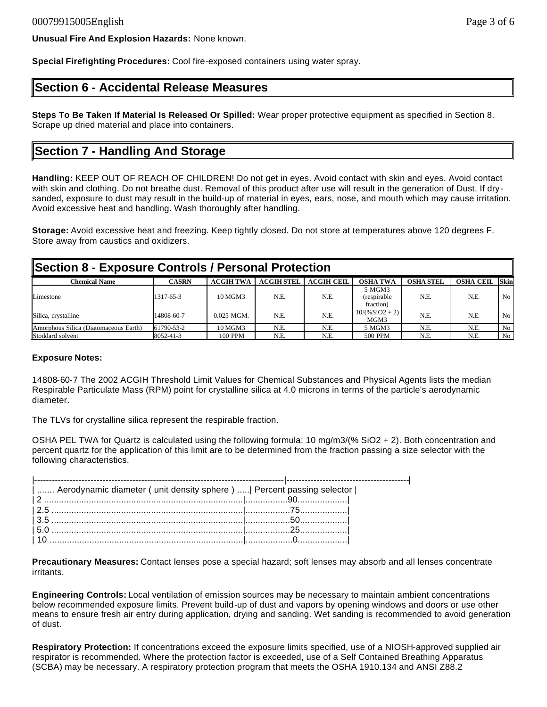**Unusual Fire And Explosion Hazards:** None known.

**Special Firefighting Procedures:** Cool fire-exposed containers using water spray.

## **Section 6 - Accidental Release Measures**

**Steps To Be Taken If Material Is Released Or Spilled:** Wear proper protective equipment as specified in Section 8. Scrape up dried material and place into containers.

## **Section 7 - Handling And Storage**

**Handling:** KEEP OUT OF REACH OF CHILDREN! Do not get in eyes. Avoid contact with skin and eyes. Avoid contact with skin and clothing. Do not breathe dust. Removal of this product after use will result in the generation of Dust. If drysanded, exposure to dust may result in the build-up of material in eyes, ears, nose, and mouth which may cause irritation. Avoid excessive heat and handling. Wash thoroughly after handling.

**Storage:** Avoid excessive heat and freezing. Keep tightly closed. Do not store at temperatures above 120 degrees F. Store away from caustics and oxidizers.

| Section 8 - Exposure Controls / Personal Protection |              |                  |                   |                   |                                    |                  |                  |                |
|-----------------------------------------------------|--------------|------------------|-------------------|-------------------|------------------------------------|------------------|------------------|----------------|
| <b>Chemical Name</b>                                | <b>CASRN</b> | <b>ACGIH TWA</b> | <b>ACGIH STEL</b> | <b>ACGIH CEIL</b> | <b>OSHA TWA</b>                    | <b>OSHA STEL</b> | <b>OSHA CEIL</b> | <b>Skin</b>    |
| Limestone                                           | 1317-65-3    | 10 MGM3          | N.E.              | N.E.              | 5 MGM3<br>(respirable<br>fraction) | N.E.             | N.E.             | N <sub>0</sub> |
| Silica, crystalline                                 | 14808-60-7   | $0.025$ MGM.     | N.E.              | N.E.              | $10/(%SiO2 + 2)$<br>MGM3           | N.E.             | N.E.             | N <sub>0</sub> |
| Amorphous Silica (Diatomaceous Earth)               | 61790-53-2   | 10 MGM3          | N.E.              | N.E.              | 5 MGM3                             | N.E.             | N.E.             | N <sub>o</sub> |
| Stoddard solvent                                    | 8052-41-3    | 100 PPM          | N.E.              | N.E.              | 500 PPM                            | N.E.             | N.E.             | No             |

#### **Exposure Notes:**

14808-60-7 The 2002 ACGIH Threshold Limit Values for Chemical Substances and Physical Agents lists the median Respirable Particulate Mass (RPM) point for crystalline silica at 4.0 microns in terms of the particle's aerodynamic diameter.

The TLVs for crystalline silica represent the respirable fraction.

OSHA PEL TWA for Quartz is calculated using the following formula: 10 mg/m3/(% SiO2 + 2). Both concentration and percent quartz for the application of this limit are to be determined from the fraction passing a size selector with the following characteristics.

| Aerodynamic diameter ( unit density sphere )    Percent passing selector |  |
|--------------------------------------------------------------------------|--|
|                                                                          |  |
|                                                                          |  |
|                                                                          |  |
|                                                                          |  |
|                                                                          |  |

**Precautionary Measures:** Contact lenses pose a special hazard; soft lenses may absorb and all lenses concentrate irritants.

**Engineering Controls:** Local ventilation of emission sources may be necessary to maintain ambient concentrations below recommended exposure limits. Prevent build-up of dust and vapors by opening windows and doors or use other means to ensure fresh air entry during application, drying and sanding. Wet sanding is recommended to avoid generation of dust.

**Respiratory Protection:** If concentrations exceed the exposure limits specified, use of a NIOSH-approved supplied air respirator is recommended. Where the protection factor is exceeded, use of a Self Contained Breathing Apparatus (SCBA) may be necessary. A respiratory protection program that meets the OSHA 1910.134 and ANSI Z88.2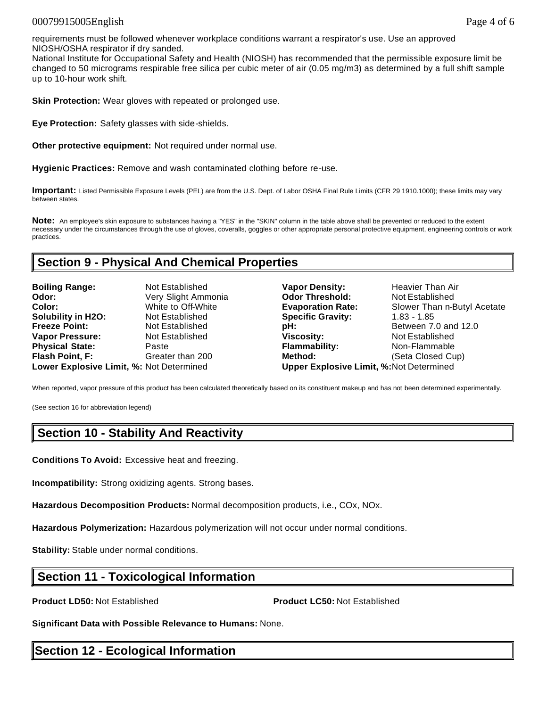### 00079915005English Page 4 of 6

requirements must be followed whenever workplace conditions warrant a respirator's use. Use an approved NIOSH/OSHA respirator if dry sanded.

National Institute for Occupational Safety and Health (NIOSH) has recommended that the permissible exposure limit be changed to 50 micrograms respirable free silica per cubic meter of air (0.05 mg/m3) as determined by a full shift sample up to 10-hour work shift.

**Skin Protection:** Wear gloves with repeated or prolonged use.

**Eye Protection:** Safety glasses with side-shields.

**Other protective equipment:** Not required under normal use.

**Hygienic Practices:** Remove and wash contaminated clothing before re-use.

**Important:** Listed Permissible Exposure Levels (PEL) are from the U.S. Dept. of Labor OSHA Final Rule Limits (CFR 29 1910.1000); these limits may vary between states.

**Note:** An employee's skin exposure to substances having a "YES" in the "SKIN" column in the table above shall be prevented or reduced to the extent necessary under the circumstances through the use of gloves, coveralls, goggles or other appropriate personal protective equipment, engineering controls or work practices.

## **Section 9 - Physical And Chemical Properties**

| <b>Boiling Range:</b>                   | Not Established     |
|-----------------------------------------|---------------------|
| Odor:                                   | Very Slight Ammonia |
| Color:                                  | White to Off-White  |
| <b>Solubility in H2O:</b>               | Not Established     |
| <b>Freeze Point:</b>                    | Not Established     |
| <b>Vapor Pressure:</b>                  | Not Established     |
| <b>Physical State:</b>                  | Paste               |
| Flash Point, F:                         | Greater than 200    |
| Lower Explosive Limit %: Not Determined |                     |

**Vapor Density:** Heavier Than Air **Odor Threshold: Not Established Evaporation Rate:** Slower Than n-Butyl Acetate **Specific Gravity: 1.83 - 1.85 pH: Between 7.0 and 12.0 Viscosity: Not Established Flammability:** Non-Flammable **Method:** (Seta Closed Cup) **Lower Explosive Limit, %:** Not Determined **Upper Explosive Limit, %:**Not Determined

When reported, vapor pressure of this product has been calculated theoretically based on its constituent makeup and has not been determined experimentally.

(See section 16 for abbreviation legend)

# **Section 10 - Stability And Reactivity**

**Conditions To Avoid:** Excessive heat and freezing.

**Incompatibility:** Strong oxidizing agents. Strong bases.

**Hazardous Decomposition Products:** Normal decomposition products, i.e., COx, NOx.

**Hazardous Polymerization:** Hazardous polymerization will not occur under normal conditions.

**Stability:** Stable under normal conditions.

## **Section 11 - Toxicological Information**

**Product LD50:** Not Established **Product LC50:** Not Established

**Significant Data with Possible Relevance to Humans:** None.

# **Section 12 - Ecological Information**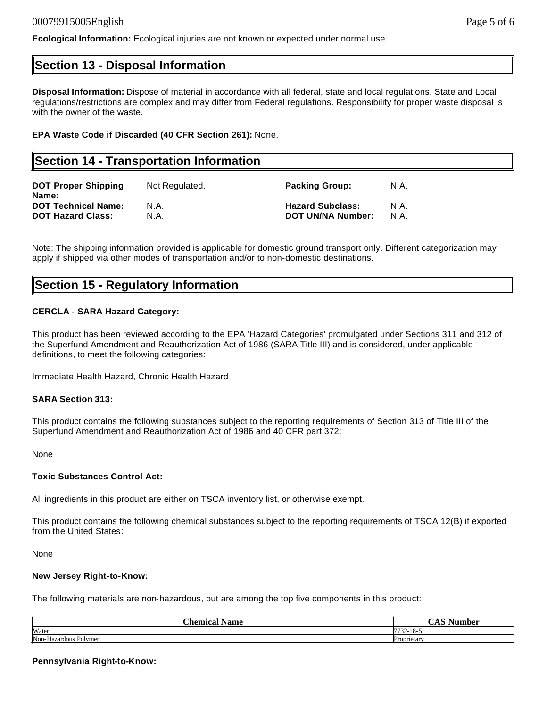**Ecological Information:** Ecological injuries are not known or expected under normal use.

## **Section 13 - Disposal Information**

**Disposal Information:** Dispose of material in accordance with all federal, state and local regulations. State and Local regulations/restrictions are complex and may differ from Federal regulations. Responsibility for proper waste disposal is with the owner of the waste.

### **EPA Waste Code if Discarded (40 CFR Section 261):** None.

## **Section 14 - Transportation Information DOT Proper Shipping Name:** Not Regulated. **Packing Group:** N.A. **DOT Technical Name:** N.A. **Hazard Subclass:** N.A. **DOT Hazard Class:** N.A. **DOT UN/NA Number:** N.A.

Note: The shipping information provided is applicable for domestic ground transport only. Different categorization may apply if shipped via other modes of transportation and/or to non-domestic destinations.

## **Section 15 - Regulatory Information**

### **CERCLA - SARA Hazard Category:**

This product has been reviewed according to the EPA 'Hazard Categories' promulgated under Sections 311 and 312 of the Superfund Amendment and Reauthorization Act of 1986 (SARA Title III) and is considered, under applicable definitions, to meet the following categories:

Immediate Health Hazard, Chronic Health Hazard

#### **SARA Section 313:**

This product contains the following substances subject to the reporting requirements of Section 313 of Title III of the Superfund Amendment and Reauthorization Act of 1986 and 40 CFR part 372:

None

#### **Toxic Substances Control Act:**

All ingredients in this product are either on TSCA inventory list, or otherwise exempt.

This product contains the following chemical substances subject to the reporting requirements of TSCA 12(B) if exported from the United States:

None

#### **New Jersey Right-to-Know:**

The following materials are non-hazardous, but are among the top five components in this product:

| - -<br>~-<br>. homioc<br>Jome<br>лашк | $\sim$ la $\sim$                          |
|---------------------------------------|-------------------------------------------|
| Water                                 | $\cdot$ $\cdot$ $\cdot$<br>$\sim$<br>ىمەر |
| Non-Hazardous<br>Polymer              | <b>D</b> ropriatory<br>ricia              |

#### **Pennsylvania Right-to-Know:**